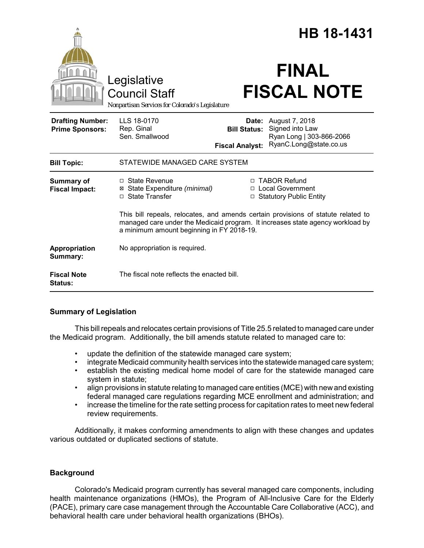|                                                   |                                                                                                                                                                                                                  |                                               | HB 18-1431                                                                                           |
|---------------------------------------------------|------------------------------------------------------------------------------------------------------------------------------------------------------------------------------------------------------------------|-----------------------------------------------|------------------------------------------------------------------------------------------------------|
|                                                   | Legislative<br><b>Council Staff</b><br>Nonpartisan Services for Colorado's Legislature                                                                                                                           |                                               | <b>FINAL</b><br><b>FISCAL NOTE</b>                                                                   |
| <b>Drafting Number:</b><br><b>Prime Sponsors:</b> | LLS 18-0170<br>Rep. Ginal<br>Sen. Smallwood                                                                                                                                                                      | <b>Bill Status:</b><br><b>Fiscal Analyst:</b> | <b>Date:</b> August 7, 2018<br>Signed into Law<br>Ryan Long   303-866-2066<br>RyanC.Long@state.co.us |
| <b>Bill Topic:</b>                                | STATEWIDE MANAGED CARE SYSTEM                                                                                                                                                                                    |                                               |                                                                                                      |
| <b>Summary of</b><br><b>Fiscal Impact:</b>        | $\Box$ State Revenue<br>⊠ State Expenditure (minimal)<br>□ State Transfer                                                                                                                                        |                                               | □ TABOR Refund<br>□ Local Government<br>□ Statutory Public Entity                                    |
|                                                   | This bill repeals, relocates, and amends certain provisions of statute related to<br>managed care under the Medicaid program. It increases state agency workload by<br>a minimum amount beginning in FY 2018-19. |                                               |                                                                                                      |
| Appropriation<br>Summary:                         | No appropriation is required.                                                                                                                                                                                    |                                               |                                                                                                      |
| <b>Fiscal Note</b><br><b>Status:</b>              | The fiscal note reflects the enacted bill.                                                                                                                                                                       |                                               |                                                                                                      |

# **Summary of Legislation**

This bill repeals and relocates certain provisions of Title 25.5 related to managed care under the Medicaid program. Additionally, the bill amends statute related to managed care to:

- update the definition of the statewide managed care system;
- integrate Medicaid community health services into the statewide managed care system;
- establish the existing medical home model of care for the statewide managed care system in statute;
- align provisions in statute relating to managed care entities (MCE) with new and existing federal managed care regulations regarding MCE enrollment and administration; and
- increase the timeline for the rate setting process for capitation rates to meet new federal review requirements.

Additionally, it makes conforming amendments to align with these changes and updates various outdated or duplicated sections of statute.

# **Background**

Colorado's Medicaid program currently has several managed care components, including health maintenance organizations (HMOs), the Program of All-Inclusive Care for the Elderly (PACE), primary care case management through the Accountable Care Collaborative (ACC), and behavioral health care under behavioral health organizations (BHOs).